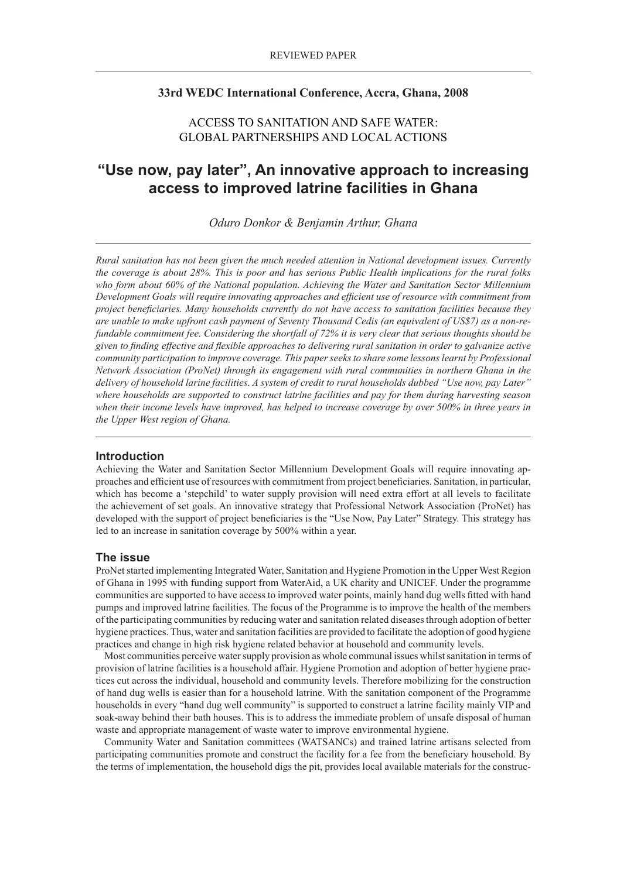# **33rd WEDC International Conference, Accra, Ghana, 2008**

# ACCESS TO SANITATION AND SAFE WATER: GLOBAL PARTNERSHIPS AND LOCAL ACTIONS

# **"Use now, pay later", An innovative approach to increasing access to improved latrine facilities in Ghana**

*Oduro Donkor & Benjamin Arthur, Ghana*

*Rural sanitation has not been given the much needed attention in National development issues. Currently the coverage is about 28%. This is poor and has serious Public Health implications for the rural folks who form about 60% of the National population. Achieving the Water and Sanitation Sector Millennium Development Goals will require innovating approaches and efficient use of resource with commitment from project beneficiaries. Many households currently do not have access to sanitation facilities because they are unable to make upfront cash payment of Seventy Thousand Cedis (an equivalent of US\$7) as a non-refundable commitment fee. Considering the shortfall of 72% it is very clear that serious thoughts should be given to finding effective and flexible approaches to delivering rural sanitation in order to galvanize active community participation to improve coverage. This paper seeks to share some lessons learnt by Professional Network Association (ProNet) through its engagement with rural communities in northern Ghana in the delivery of household larine facilities. A system of credit to rural households dubbed "Use now, pay Later" where households are supported to construct latrine facilities and pay for them during harvesting season when their income levels have improved, has helped to increase coverage by over 500% in three years in the Upper West region of Ghana.*

# **Introduction**

Achieving the Water and Sanitation Sector Millennium Development Goals will require innovating approaches and efficient use of resources with commitment from project beneficiaries. Sanitation, in particular, which has become a 'stepchild' to water supply provision will need extra effort at all levels to facilitate the achievement of set goals. An innovative strategy that Professional Network Association (ProNet) has developed with the support of project beneficiaries is the "Use Now, Pay Later" Strategy. This strategy has led to an increase in sanitation coverage by 500% within a year.

#### **The issue**

ProNet started implementing Integrated Water, Sanitation and Hygiene Promotion in the Upper West Region of Ghana in 1995 with funding support from WaterAid, a UK charity and UNICEF. Under the programme communities are supported to have access to improved water points, mainly hand dug wells fitted with hand pumps and improved latrine facilities. The focus of the Programme is to improve the health of the members of the participating communities by reducing water and sanitation related diseases through adoption of better hygiene practices. Thus, water and sanitation facilities are provided to facilitate the adoption of good hygiene practices and change in high risk hygiene related behavior at household and community levels.

Most communities perceive water supply provision as whole communal issues whilst sanitation in terms of provision of latrine facilities is a household affair. Hygiene Promotion and adoption of better hygiene practices cut across the individual, household and community levels. Therefore mobilizing for the construction of hand dug wells is easier than for a household latrine. With the sanitation component of the Programme households in every "hand dug well community" is supported to construct a latrine facility mainly VIP and soak-away behind their bath houses. This is to address the immediate problem of unsafe disposal of human waste and appropriate management of waste water to improve environmental hygiene.

Community Water and Sanitation committees (WATSANCs) and trained latrine artisans selected from participating communities promote and construct the facility for a fee from the beneficiary household. By the terms of implementation, the household digs the pit, provides local available materials for the construc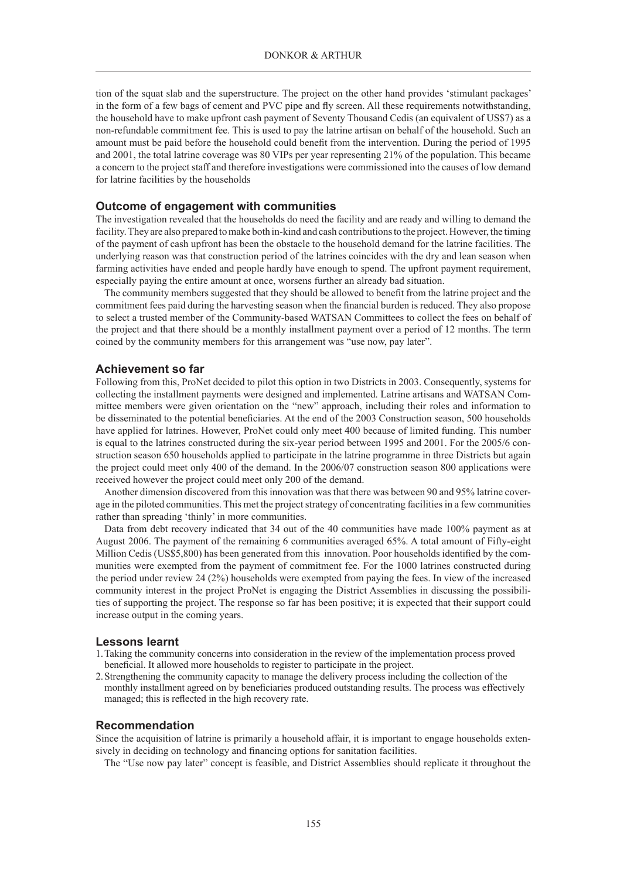tion of the squat slab and the superstructure. The project on the other hand provides 'stimulant packages' in the form of a few bags of cement and PVC pipe and fly screen. All these requirements notwithstanding, the household have to make upfront cash payment of Seventy Thousand Cedis (an equivalent of US\$7) as a non-refundable commitment fee. This is used to pay the latrine artisan on behalf of the household. Such an amount must be paid before the household could benefit from the intervention. During the period of 1995 and 2001, the total latrine coverage was 80 VIPs per year representing 21% of the population. This became a concern to the project staff and therefore investigations were commissioned into the causes of low demand for latrine facilities by the households

#### **Outcome of engagement with communities**

The investigation revealed that the households do need the facility and are ready and willing to demand the facility. They are also prepared to make both in-kind and cash contributions to the project. However, the timing of the payment of cash upfront has been the obstacle to the household demand for the latrine facilities. The underlying reason was that construction period of the latrines coincides with the dry and lean season when farming activities have ended and people hardly have enough to spend. The upfront payment requirement, especially paying the entire amount at once, worsens further an already bad situation.

The community members suggested that they should be allowed to benefit from the latrine project and the commitment fees paid during the harvesting season when the financial burden is reduced. They also propose to select a trusted member of the Community-based WATSAN Committees to collect the fees on behalf of the project and that there should be a monthly installment payment over a period of 12 months. The term coined by the community members for this arrangement was "use now, pay later".

#### **Achievement so far**

Following from this, ProNet decided to pilot this option in two Districts in 2003. Consequently, systems for collecting the installment payments were designed and implemented. Latrine artisans and WATSAN Committee members were given orientation on the "new" approach, including their roles and information to be disseminated to the potential beneficiaries. At the end of the 2003 Construction season, 500 households have applied for latrines. However, ProNet could only meet 400 because of limited funding. This number is equal to the latrines constructed during the six-year period between 1995 and 2001. For the 2005/6 construction season 650 households applied to participate in the latrine programme in three Districts but again the project could meet only 400 of the demand. In the 2006/07 construction season 800 applications were received however the project could meet only 200 of the demand.

Another dimension discovered from this innovation was that there was between 90 and 95% latrine coverage in the piloted communities. This met the project strategy of concentrating facilities in a few communities rather than spreading 'thinly' in more communities.

Data from debt recovery indicated that 34 out of the 40 communities have made 100% payment as at August 2006. The payment of the remaining 6 communities averaged 65%. A total amount of Fifty-eight Million Cedis (US\$5,800) has been generated from this innovation. Poor households identified by the communities were exempted from the payment of commitment fee. For the 1000 latrines constructed during the period under review 24 (2%) households were exempted from paying the fees. In view of the increased community interest in the project ProNet is engaging the District Assemblies in discussing the possibilities of supporting the project. The response so far has been positive; it is expected that their support could increase output in the coming years.

#### **Lessons learnt**

- 1.Taking the community concerns into consideration in the review of the implementation process proved beneficial. It allowed more households to register to participate in the project.
- 2.Strengthening the community capacity to manage the delivery process including the collection of the monthly installment agreed on by beneficiaries produced outstanding results. The process was effectively managed; this is reflected in the high recovery rate.

#### **Recommendation**

Since the acquisition of latrine is primarily a household affair, it is important to engage households extensively in deciding on technology and financing options for sanitation facilities.

The "Use now pay later" concept is feasible, and District Assemblies should replicate it throughout the